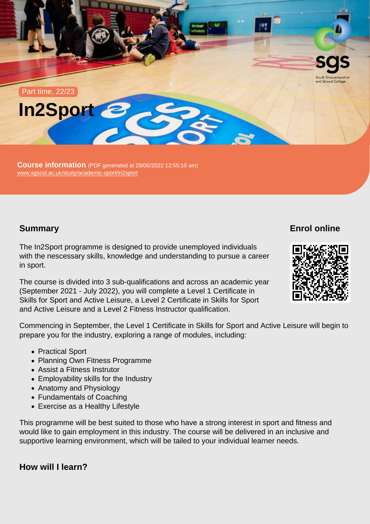Part time, 22/23



Course information (PDF generated at 29/06/2022 12:55:10 am) [www.sgscol.ac.uk/study/academic-sport/in2sport](https://www.sgscol.ac.uk/study/academic-sport/in2sport)

# Summary

Enrol online

The In2Sport programme is designed to provide unemployed individuals with the nescessary skills, knowledge and understanding to pursue a career in sport.

The course is divided into 3 sub-qualifications and across an academic year (September 2021 - July 2022), you will complete a Level 1 Certificate in Skills for Sport and Active Leisure, a Level 2 Certificate in Skills for Sport and Active Leisure and a Level 2 Fitness Instructor qualification.

Commencing in September, the Level 1 Certificate in Skills for Sport and Active Leisure will begin to prepare you for the industry, exploring a range of modules, including:

- Practical Sport
- Planning Own Fitness Programme
- Assist a Fitness Instrutor
- Employability skills for the Industry
- Anatomy and Physiology
- Fundamentals of Coaching
- Exercise as a Healthy Lifestyle

This programme will be best suited to those who have a strong interest in sport and fitness and would like to gain employment in this industry. The course will be delivered in an inclusive and supportive learning environment, which will be tailed to your individual learner needs.

How will I learn?